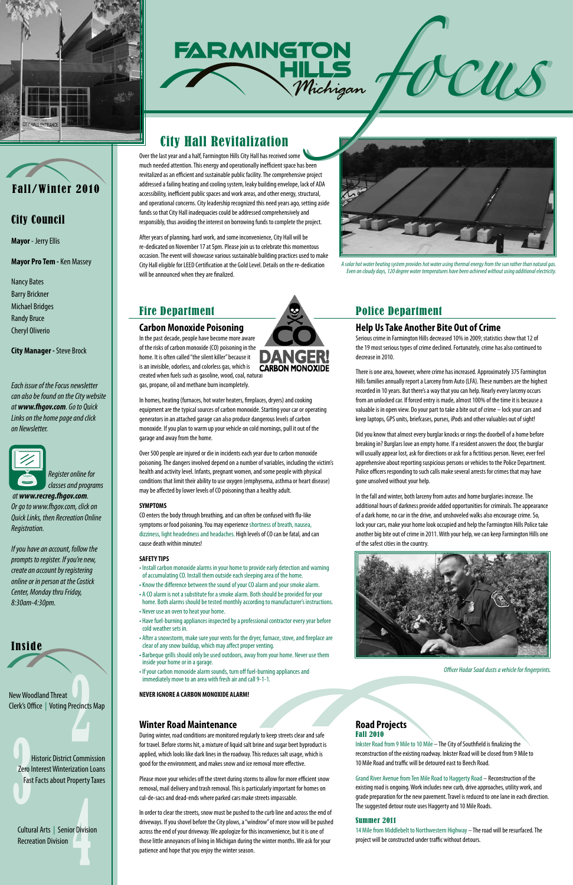



# City Council

**Mayor** - Jerry Ellis

**Mayor Pro Tem -** Ken Massey

Nancy Bates Barry Brickner Michael Bridges Randy Bruce Cheryl Oliverio

**City Manager -** Steve Brock

*Each issue of the Focus newsletter can also be found on the City website at www.fhgov.com. Go to Quick Links on the home page and click on Newsletter.*





 *at www.recreg.fhgov.com. Or go to www.fhgov.com, click on Quick Links, then Recreation Online Registration.*

*If you have an account, follow the prompts to register. If you're new, create an account by registering online or in person at the Costick Center, Monday thru Friday, 8:30am-4:30pm.*



Over the last year and a half, Farmington Hills City Hall has received some much needed attention. This energy and operationally inefficient space has been revitalized as an efficient and sustainable public facility. The comprehensive project addressed a failing heating and cooling system, leaky building envelope, lack of ADA accessibility, inefficient public spaces and work areas, and other energy, structural, and operational concerns. City leadership recognized this need years ago, setting aside funds so that City Hall inadequacies could be addressed comprehensively and responsibly, thus avoiding the interest on borrowing funds to complete the project.

**FARMINGTON** 

Michigan

After years of planning, hard work, and some inconvenience, City Hall will be re-dedicated on November 17 at 5pm. Please join us to celebrate this momentous occasion. The event will showcase various sustainable building practices used to make City Hall eligible for LEED Certification at the Gold Level. Details on the re-dedication will be announced when they are finalized.

# Fire Department

### **Carbon Monoxide Poisoning**

In the past decade, people have become more aware of the risks of carbon monoxide (CO) poisoning in the home. It is often called "the silent killer" because it is an invisible, odorless, and colorless gas, which is created when fuels such as gasoline, wood, coal, natural gas, propane, oil and methane burn incompletely.

In homes, heating (furnaces, hot water heaters, fireplaces, dryers) and cooking equipment are the typical sources of carbon monoxide. Starting your car or operating generators in an attached garage can also produce dangerous levels of carbon monoxide. If you plan to warm up your vehicle on cold mornings, pull it out of the garage and away from the home.

Over 500 people are injured or die in incidents each year due to carbon monoxide poisoning. The dangers involved depend on a number of variables, including the victim's health and activity level. Infants, pregnant women, and some people with physical conditions that limit their ability to use oxygen (emphysema, asthma or heart disease) may be affected by lower levels of CO poisoning than a healthy adult.

### **SYMPTOMS**

CO enters the body through breathing, and can often be confused with flu-like symptoms or food poisoning. You may experience shortness of breath, nausea, dizziness, light headedness and headaches. High levels of CO can be fatal, and can cause death within minutes!

#### **SAFETY TIPS**

- Install carbon monoxide alarms in your home to provide early detection and warning of accumulating CO. Install them outside each sleeping area of the home. • Know the difference between the sound of your CO alarm and your smoke alarm.
- A CO alarm is not a substitute for a smoke alarm. Both should be provided for your home. Both alarms should be tested monthly according to manufacturer's instructions.
- Never use an oven to heat your home.
- Have fuel-burning appliances inspected by a professional contractor every year before cold weather sets in.
- After a snowstorm, make sure your vents for the dryer, furnace, stove, and fireplace are clear of any snow buildup, which may affect proper venting.



• Barbeque grills should only be used outdoors, away from your home. Never use them inside your home or in a garage.

• If your carbon monoxide alarm sounds, turn off fuel-burning appliances and immediately move to an area with fresh air and call 9-1-1.

New Woodland Threat **NEW HORSE IGNORE A CARBON MONOXIDE ALARM!** 

Clerk's Office | Voting Precincts Map

Historic District Commission Zero Interest Winterization Loans Fast Facts about Property Taxes

Cultural Arts | Senior Division Recreation Division

# Police Department

### **Help Us Take Another Bite Out of Crime**

Serious crime in Farmington Hills decreased 10% in 2009; statistics show that 12 of the 19 most serious types of crime declined. Fortunately, crime has also continued to decrease in 2010.

There is one area, however, where crime has increased. Approximately 375 Farmington Hills families annually report a Larceny from Auto (LFA). These numbers are the highest recorded in 10 years. But there's a way that you can help. Nearly every larceny occurs from an unlocked car. If forced entry is made, almost 100% of the time it is because a valuable is in open view. Do your part to take a bite out of crime – lock your cars and keep laptops, GPS units, briefcases, purses, iPods and other valuables out of sight!

Did you know that almost every burglar knocks or rings the doorbell of a home before breaking in? Burglars love an empty home. If a resident answers the door, the burglar will usually appear lost, ask for directions or ask for a fictitious person. Never, ever feel apprehensive about reporting suspicious persons or vehicles to the Police Department. Police officers responding to such calls make several arrests for crimes that may have gone unsolved without your help.

In the fall and winter, both larceny from autos and home burglaries increase. The additional hours of darkness provide added opportunities for criminals. The appearance of a dark home, no car in the drive, and unshoveled walks also encourage crime. So, lock your cars, make your home look occupied and help the Farmington Hills Police take another big bite out of crime in 2011. With your help, we can keep Farmington Hills one of the safest cities in the country.





### **Winter Road Maintenance**

During winter, road conditions are monitored regularly to keep streets clear and safe for travel. Before storms hit, a mixture of liquid salt brine and sugar beet byproduct is applied, which looks like dark lines in the roadway. This reduces salt usage, which is good for the environment, and makes snow and ice removal more effective.

Please move your vehicles off the street during storms to allow for more efficient snow removal, mail delivery and trash removal. This is particularly important for homes on cul-de-sacs and dead-ends where parked cars make streets impassable.

In order to clear the streets, snow must be pushed to the curb line and across the end of driveways. If you shovel before the City plows, a "windrow" of more snow will be pushed across the end of your driveway. We apologize for this inconvenience, but it is one of those little annoyances of living in Michigan during the winter months. We ask for your patience and hope that you enjoy the winter season.

### **Road Projects** Fall 2010

Inkster Road from 9 Mile to 10 Mile – The City of Southfield is finalizing the reconstruction of the existing roadway. Inkster Road will be closed from 9 Mile to 10 Mile Road and traffic will be detoured east to Beech Road.

Grand River Avenue from Ten Mile Road to Haggerty Road – Reconstruction of the existing road is ongoing. Work includes new curb, drive approaches, utility work, and grade preparation for the new pavement. Travel is reduced to one lane in each direction. The suggested detour route uses Haggerty and 10 Mile Roads.

#### Summer 2011

14 Mile from Middlebelt to Northwestern Highway – The road will be resurfaced. The project will be constructed under traffic without detours.

*Officer Hadar Saad dusts a vehicle for fingerprints.*

*A solar hot water heating system provides hot water using thermal energy from the sun rather than natural gas. Even on cloudy days, 120 degree water temperatures have been achieved without using additional electricity.*

*ffocus*

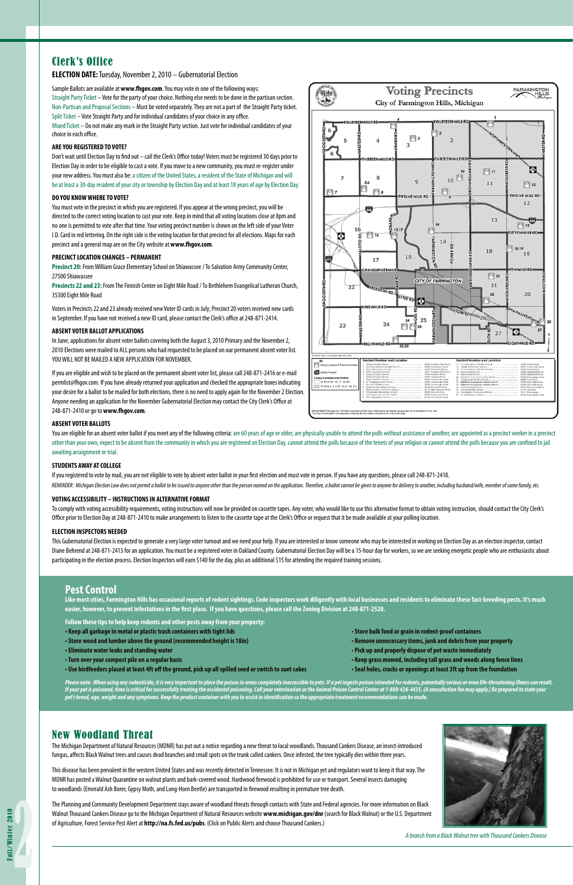# Clerk's Office

#### **ELECTION DATE:** Tuesday, November 2, 2010 – Gubernatorial Election

Sample Ballots are available at **www.fhgov.com**. You may vote in one of the following ways: Straight Party Ticket – Vote for the party of your choice. Nothing else needs to be done in the partisan section. Non-Partisan and Proposal Sections – Must be voted separately. They are not a part of the Straight Party ticket. Split Ticket – Vote Straight Party and for individual candidates of your choice in any office.

Mixed Ticket – Do not make any mark in the Straight Party section. Just vote for individual candidates of your choice in each office.

#### **ARE YOU REGISTERED TO VOTE?**

Don't wait until Election Day to find out – call the Clerk's Office today! Voters must be registered 30 days prior to Election Day in order to be eligible to cast a vote. If you move to a new community, you must re-register under your new address. You must also be: a citizen of the United States, a resident of the State of Michigan and will be at least a 30-day resident of your city or township by Election Day and at least 18 years of age by Election Day.

#### **DO YOU KNOW WHERE TO VOTE?**

You must vote in the precinct in which you are registered. If you appear at the wrong precinct, you will be directed to the correct voting location to cast your vote. Keep in mind that all voting locations close at 8pm and no one is permitted to vote after that time. Your voting precinct number is shown on the left side of your Voter I.D. Card in red lettering. On the right side is the voting location for that precinct for all elections. Maps for each precinct and a general map are on the City website at **www.fhgov.com**.

#### **PRECINCT LOCATION CHANGES – PERMANENT**

You are eligible for an absent voter ballot if you meet any of the following criteria: are 60 years of age or older, are physically unable to attend the polls without assistance of another, are appointed as a precinct work other than your own, expect to be absent from the community in which you are registered on Election Day, cannot attend the polls because of the tenets of your religion or cannot attend the polls because you are confined to awaiting arraignment or trial.

**Precinct 20:** From William Grace Elementary School on Shiawassee / To Salvation Army Community Center, 27500 Shiawassee

**Precincts 22 and 23:** From The Finnish Center on Eight Mile Road / To Bethlehem Evangelical Lutheran Church, 35300 Eight Mile Road

Voters in Precincts 22 and 23 already received new Voter ID cards in July; Precinct 20 voters received new cards in September. If you have not received a new ID card, please contact the Clerk's office at 248-871-2414.

#### **ABSENT VOTER BALLOT APPLICATIONS**

In June, applications for absent voter ballots covering both the August 3, 2010 Primary and the November 2, 2010 Elections were mailed to ALL persons who had requested to be placed on our permanent absent voter list. YOU WILL NOT BE MAILED A NEW APPLICATION FOR NOVEMBER.

This Gubernatorial Election is expected to generate a very large voter turnout and we need your help. If you are interested or know someone who may be interested in working on Election Day as an election inspector, contact Diane Behrend at 248-871-2413 for an application. You must be a registered voter in Oakland County. Gubernatorial Election Day will be a 15-hour day for workers, so we are seeking energetic people who are enthusiastic abou participating in the election process. Election Inspectors will earn \$140 for the day, plus an additional \$15 for attending the required training sessions.

If you are eligible and wish to be placed on the permanent absent voter list, please call 248-871-2416 or e-mail permlist@fhgov.com. If you have already returned your application and checked the appropriate boxes indicating your desire for a ballot to be mailed for both elections, there is no need to apply again for the November 2 Election. Anyone needing an application for the November Gubernatorial Election may contact the City Clerk's Office at 248-871-2410 or go to **www.fhgov.com**.



#### **ABSENT VOTER BALLOTS**

#### **STUDENTS AWAY AT COLLEGE**

If you registered to vote by mail, you are not eligible to vote by absent voter ballot in your first election and must vote in person. If you have any questions, please call 248-871-2418.

REMINDER: Michigan Election Law does not permit a ballot to be issued to anyone other than the person named on the application. Therefore, a ballot cannot be given to anyone for delivery to another, including husband/wife,

#### **VOTING ACCESSIBILITY – INSTRUCTIONS IN ALTERNATIVE FORMAT**

To comply with voting accessibility requirements, voting instructions will now be provided on cassette tapes. Any voter, who would like to use this alternative format to obtain voting instruction, should contact the City C Office prior to Election Day at 248-871-2410 to make arrangements to listen to the cassette tape at the Clerk's Office or request that it be made available at your polling location.

Please note: When using any rodenticide, it is very important to place the poison in areas completely inaccessible to pets. If a pet ingests poison intended for rodents, potentially serious or even life-threatening illness If your pet is poisoned, time is critical for successfully treating the accidental poisoning. Call your veterinarian or the Animal Poison Control Center at 1-888-426-4435. (A consultation fee may apply.) Be prepared to sta *pet's breed, age, weight and any symptoms. Keep the product container with you to assist in identification so the appropriate treatment recommendations can be made.*

#### **ELECTION INSPECTORS NEEDED**

### New Woodland Threat

The Michigan Department of Natural Resources (MDNR) has put out a notice regarding a new threat to local woodlands. Thousand Cankers Disease, an insect-introduced fungus, affects Black Walnut trees and causes dead branches and small spots on the trunk called cankers. Once infested, the tree typically dies within three years.

This disease has been prevalent in the western United States and was recently detected in Tennessee. It is not in Michigan yet and regulators want to keep it that way. The MDNR has posted a Walnut Quarantine on walnut plants and bark-covered wood. Hardwood firewood is prohibited for use or transport. Several insects damaging to woodlands (Emerald Ash Borer, Gypsy Moth, and Long-Horn Beetle) are transported in firewood resulting in premature tree death.

The Planning and Community Development Department stays aware of woodland threats through contacts with State and Federal agencies. For more information on Black Walnut Thousand Cankers Disease go to the Michigan Department of Natural Resources website **www.michigan.gov/dnr** (search for Black Walnut) or the U.S. Department of Agriculture, Forest Service Pest Alert at **http://na.fs.fed.us/pubs**. (Click on Public Alerts and choose Thousand Cankers.)



*A branch from a Black Walnut tree with Thousand Cankers Disease*

### **Pest Control**

**Like most cities, Farmington Hills has occasional reports of rodent sightings. Code inspectors work diligently with local businesses and residents to eliminate these fast-breeding pests. It's much easier, however, to prevent infestations in the first place. If you have questions, please call the Zoning Division at 248-871-2520.**

**Follow these tips to help keep rodents and other pests away from your property:**

**• Keep all garbage in metal or plastic trash containers with tight lids • Store bulk food or grain in rodent-proof containers**

**• Store wood and lumber above the ground (recommended height is 18in) • Remove unnecessary items, junk and debris from your property**

- 
- 
- 
- 
- **Use birdfeeders placed at least 4ft off the ground, pick up all spilled seed or switch to suet cakes Seal holes, cracks or openings at least 3ft up from the foundation**
- **Eliminate water leaks and standing water Pick up and properly dispose of pet waste immediately**
- **Turn over your compost pile on a regular basis Keep grass mowed, including tall grass and weeds along fence lines**
	-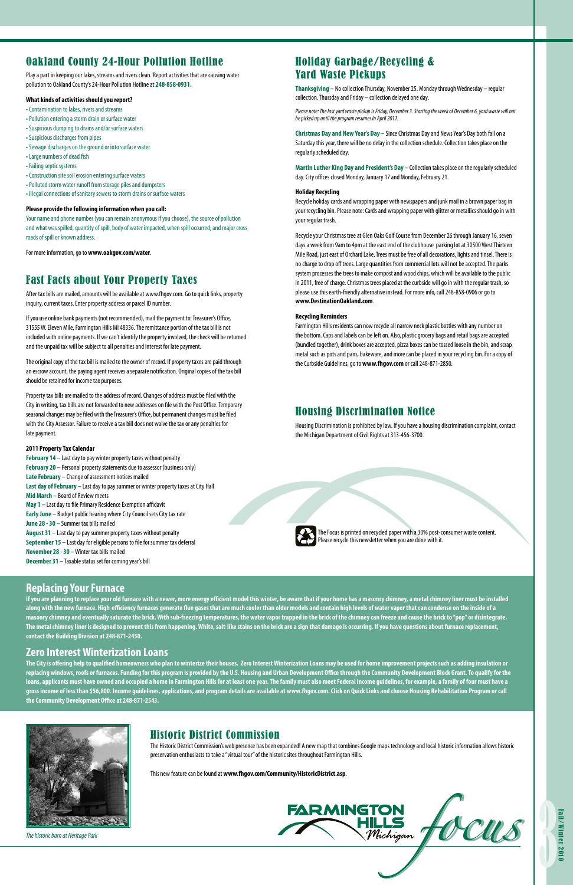### Fast Facts about Your Property Taxes

After tax bills are mailed, amounts will be available at www.fhgov.com. Go to quick links, property inquiry, current taxes. Enter property address or parcel ID number.

If you use online bank payments (not recommended), mail the payment to: Treasurer's Office, 31555 W. Eleven Mile, Farmington Hills MI 48336. The remittance portion of the tax bill is not included with online payments. If we can't identify the property involved, the check will be returned and the unpaid tax will be subject to all penalties and interest for late payment.

The original copy of the tax bill is mailed to the owner of record. If property taxes are paid through an escrow account, the paying agent receives a separate notification. Original copies of the tax bill should be retained for income tax purposes.

Property tax bills are mailed to the address of record. Changes of address must be filed with the City in writing, tax bills are not forwarded to new addresses on file with the Post Office. Temporary seasonal changes may be filed with the Treasurer's Office, but permanent changes must be filed with the City Assessor. Failure to receive a tax bill does not waive the tax or any penalties for late payment.

#### **2011 Property Tax Calendar**

**February 14** – Last day to pay winter property taxes without penalty **February 20** – Personal property statements due to assessor (business only) **Late February** – Change of assessment notices mailed **Last day of February** – Last day to pay summer or winter property taxes at City Hall **Mid March** – Board of Review meets **May 1** – Last day to file Primary Residence Exemption affidavit **Early June** – Budget public hearing where City Council sets City tax rate **June 28 - 30** – Summer tax bills mailed **August 31** – Last day to pay summer property taxes without penalty **September 15** – Last day for eligible persons to file for summer tax deferral **November 28 - 30** – Winter tax bills mailed **December 31** – Taxable status set for coming year's bill

# Holiday Garbage/Recycling & Yard Waste Pickups

**Thanksgiving** – No collection Thursday, November 25. Monday through Wednesday – regular collection. Thursday and Friday – collection delayed one day.

*Please note: The last yard waste pickup is Friday, December 3. Starting the week of December 6, yard waste will not be picked up until the program resumes in April 2011.*

**Christmas Day and New Year's Day** – Since Christmas Day and News Year's Day both fall on a Saturday this year, there will be no delay in the collection schedule. Collection takes place on the regularly scheduled day.

**Martin Luther King Day and President's Day** – Collection takes place on the regularly scheduled day. City offices closed Monday, January 17 and Monday, February 21.

#### **Holiday Recycling**

Recycle holiday cards and wrapping paper with newspapers and junk mail in a brown paper bag in your recycling bin. Please note: Cards and wrapping paper with glitter or metallics should go in with your regular trash.

Recycle your Christmas tree at Glen Oaks Golf Course from December 26 through January 16, seven days a week from 9am to 4pm at the east end of the clubhouse parking lot at 30500 West Thirteen Mile Road, just east of Orchard Lake. Trees must be free of all decorations, lights and tinsel. There is no charge to drop off trees. Large quantities from commercial lots will not be accepted. The parks system processes the trees to make compost and wood chips, which will be available to the public in 2011, free of charge. Christmas trees placed at the curbside will go in with the regular trash, so please use this earth-friendly alternative instead. For more info, call 248-858-0906 or go to **www.DestinationOakland.com**.

#### **Recycling Reminders**

Farmington Hills residents can now recycle all narrow neck plastic bottles with any number on the bottom. Caps and labels can be left on. Also, plastic grocery bags and retail bags are accepted (bundled together), drink boxes are accepted, pizza boxes can be tossed loose in the bin, and scrap metal such as pots and pans, bakeware, and more can be placed in your recycling bin. For a copy of the Curbside Guidelines, go to **www.fhgov.com** or call 248-871-2850.

# Oakland County 24-Hour Pollution Hotline

Play a part in keeping our lakes, streams and rivers clean. Report activities that are causing water pollution to Oakland County's 24-Hour Pollution Hotline at **248-858-0931.**

#### **What kinds of activities should you report?**

- Contamination to lakes, rivers and streams
- Pollution entering a storm drain or surface water
- Suspicious dumping to drains and/or surface waters
- Suspicious discharges from pipes
- Sewage discharges on the ground or into surface water
- Large numbers of dead fish
- Failing septic systems
- Construction site soil erosion entering surface waters
- Polluted storm water runoff from storage piles and dumpsters
- Illegal connections of sanitary sewers to storm drains or surface waters

#### **Please provide the following information when you call:**

Your name and phone number (you can remain anonymous if you choose), the source of pollution and what was spilled, quantity of spill, body of water impacted, when spill occurred, and major cross roads of spill or known address.

For more information, go to **www.oakgov.com/water**.

### Historic District Commission

The Historic District Commission's web presence has been expanded! A new map that combines Google maps technology and local historic information allows historic preservation enthusiasts to take a "virtual tour" of the historic sites throughout Farmington Hills.

**FARMINGTON** 

This new feature can be found at **www.fhgov.com/Community/HistoricDistrict.asp**.

*The historic barn at Heritage Park*

### **Replacing Your Furnace**

**If you are planning to replace your old furnace with a newer, more energy efficient model this winter, be aware that if your home has a masonry chimney, a metal chimney liner must be installed along with the new furnace. High-efficiency furnaces generate flue gases that are much cooler than older models and contain high levels of water vapor that can condense on the inside of a masonry chimney and eventually saturate the brick. With sub-freezing temperatures, the water vapor trapped in the brick of the chimney can freeze and cause the brick to "pop" or disintegrate. The metal chimney liner is designed to prevent this from happening. White, salt-like stains on the brick are a sign that damage is occurring. If you have questions about furnace replacement, contact the Building Division at 248-871-2450.** 

#### **Zero Interest Winterization Loans**

**The City is offering help to qualified homeowners who plan to winterize their houses. Zero Interest Winterization Loans may be used for home improvement projects such as adding insulation or replacing windows, roofs or furnaces. Funding for this program is provided by the U.S. Housing and Urban Development Office through the Community Development Block Grant. To qualify for the loans, applicants must have owned and occupied a home in Farmington Hills for at least one year. The family must also meet Federal income guidelines, for example, a family of four must have a gross income of less than \$56,800. Income guidelines, applications, and program details are available at www.fhgov.com. Click on Quick Links and choose Housing Rehabilitation Program or call the Community Development Office at 248-871-2543.**



### Housing Discrimination Notice

Housing Discrimination is prohibited by law. If you have a housing discrimination complaint, contact the Michigan Department of Civil Rights at 313-456-3700.



The Focus is printed on recycled paper with a 30% post-consumer waste content. Please recycle this newsletter when you are done with it.

**Michigan** focus